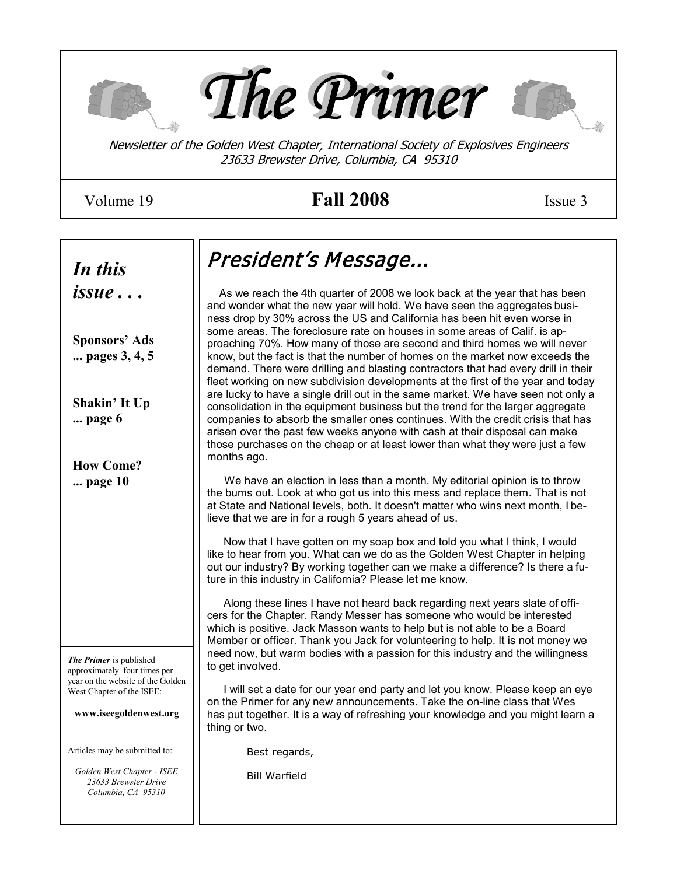

# Volume 19 **Fall 2008** Issue 3

| In this                                                                                  | President's Message                                                                                                                                                                                                                                                                                                                                                                                                                 |
|------------------------------------------------------------------------------------------|-------------------------------------------------------------------------------------------------------------------------------------------------------------------------------------------------------------------------------------------------------------------------------------------------------------------------------------------------------------------------------------------------------------------------------------|
| <i>issue</i>                                                                             | As we reach the 4th quarter of 2008 we look back at the year that has been<br>and wonder what the new year will hold. We have seen the aggregates busi-<br>ness drop by 30% across the US and California has been hit even worse in                                                                                                                                                                                                 |
| <b>Sponsors' Ads</b><br>pages 3, 4, 5                                                    | some areas. The foreclosure rate on houses in some areas of Calif. is ap-<br>proaching 70%. How many of those are second and third homes we will never<br>know, but the fact is that the number of homes on the market now exceeds the<br>demand. There were drilling and blasting contractors that had every drill in their<br>fleet working on new subdivision developments at the first of the year and today                    |
| Shakin' It Up<br>page 6                                                                  | are lucky to have a single drill out in the same market. We have seen not only a<br>consolidation in the equipment business but the trend for the larger aggregate<br>companies to absorb the smaller ones continues. With the credit crisis that has<br>arisen over the past few weeks anyone with cash at their disposal can make<br>those purchases on the cheap or at least lower than what they were just a few<br>months ago. |
| <b>How Come?</b><br>page 10                                                              | We have an election in less than a month. My editorial opinion is to throw<br>the bums out. Look at who got us into this mess and replace them. That is not<br>at State and National levels, both. It doesn't matter who wins next month, I be-<br>lieve that we are in for a rough 5 years ahead of us.                                                                                                                            |
|                                                                                          | Now that I have gotten on my soap box and told you what I think, I would<br>like to hear from you. What can we do as the Golden West Chapter in helping<br>out our industry? By working together can we make a difference? Is there a fu-<br>ture in this industry in California? Please let me know.                                                                                                                               |
|                                                                                          | Along these lines I have not heard back regarding next years slate of offi-<br>cers for the Chapter. Randy Messer has someone who would be interested<br>which is positive. Jack Masson wants to help but is not able to be a Board<br>Member or officer. Thank you Jack for volunteering to help. It is not money we<br>need now, but warm bodies with a passion for this industry and the willingness                             |
| The Primer is published<br>approximately four times per                                  | to get involved.                                                                                                                                                                                                                                                                                                                                                                                                                    |
| year on the website of the Golden<br>West Chapter of the ISEE:<br>www.iseegoldenwest.org | I will set a date for our year end party and let you know. Please keep an eye<br>on the Primer for any new announcements. Take the on-line class that Wes<br>has put together. It is a way of refreshing your knowledge and you might learn a<br>thing or two.                                                                                                                                                                      |
| Articles may be submitted to:                                                            | Best regards,                                                                                                                                                                                                                                                                                                                                                                                                                       |
| Golden West Chapter - ISEE<br>23633 Brewster Drive<br>Columbia, CA 95310                 | <b>Bill Warfield</b>                                                                                                                                                                                                                                                                                                                                                                                                                |
|                                                                                          |                                                                                                                                                                                                                                                                                                                                                                                                                                     |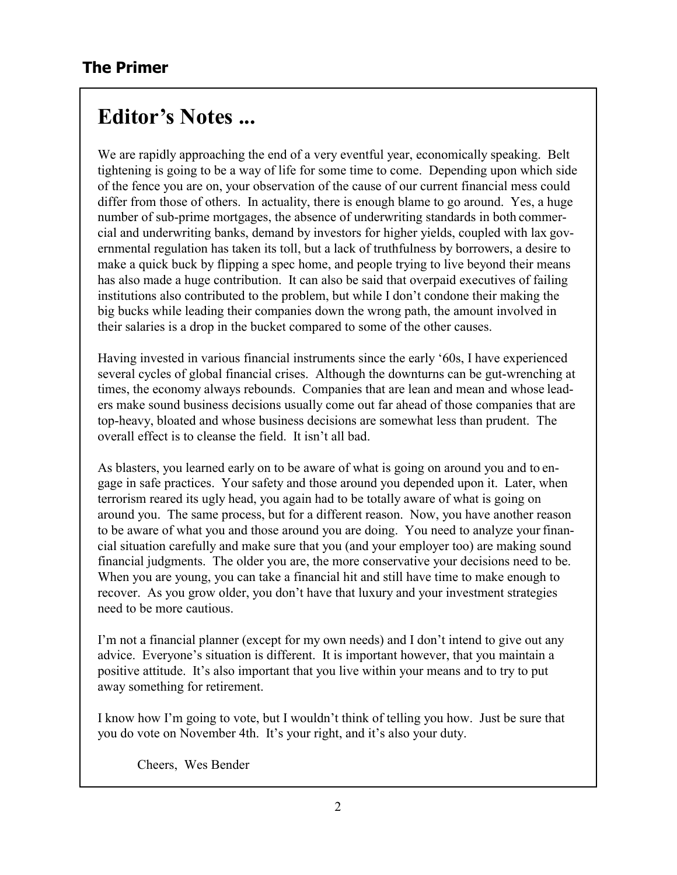# **Editor's Notes ...**

We are rapidly approaching the end of a very eventful year, economically speaking. Belt tightening is going to be a way of life for some time to come. Depending upon which side of the fence you are on, your observation of the cause of our current financial mess could differ from those of others. In actuality, there is enough blame to go around. Yes, a huge number of sub-prime mortgages, the absence of underwriting standards in both commercial and underwriting banks, demand by investors for higher yields, coupled with lax governmental regulation has taken its toll, but a lack of truthfulness by borrowers, a desire to make a quick buck by flipping a spec home, and people trying to live beyond their means has also made a huge contribution. It can also be said that overpaid executives of failing institutions also contributed to the problem, but while I don't condone their making the big bucks while leading their companies down the wrong path, the amount involved in their salaries is a drop in the bucket compared to some of the other causes.

Having invested in various financial instruments since the early '60s, I have experienced several cycles of global financial crises. Although the downturns can be gut-wrenching at times, the economy always rebounds. Companies that are lean and mean and whose leaders make sound business decisions usually come out far ahead of those companies that are top-heavy, bloated and whose business decisions are somewhat less than prudent. The overall effect is to cleanse the field. It isn't all bad.

As blasters, you learned early on to be aware of what is going on around you and to engage in safe practices. Your safety and those around you depended upon it. Later, when terrorism reared its ugly head, you again had to be totally aware of what is going on around you. The same process, but for a different reason. Now, you have another reason to be aware of what you and those around you are doing. You need to analyze your financial situation carefully and make sure that you (and your employer too) are making sound financial judgments. The older you are, the more conservative your decisions need to be. When you are young, you can take a financial hit and still have time to make enough to recover. As you grow older, you don't have that luxury and your investment strategies need to be more cautious.

I'm not a financial planner (except for my own needs) and I don't intend to give out any advice. Everyone's situation is different. It is important however, that you maintain a positive attitude. It's also important that you live within your means and to try to put away something for retirement.

I know how I'm going to vote, but I wouldn't think of telling you how. Just be sure that you do vote on November 4th. It's your right, and it's also your duty.

Cheers, Wes Bender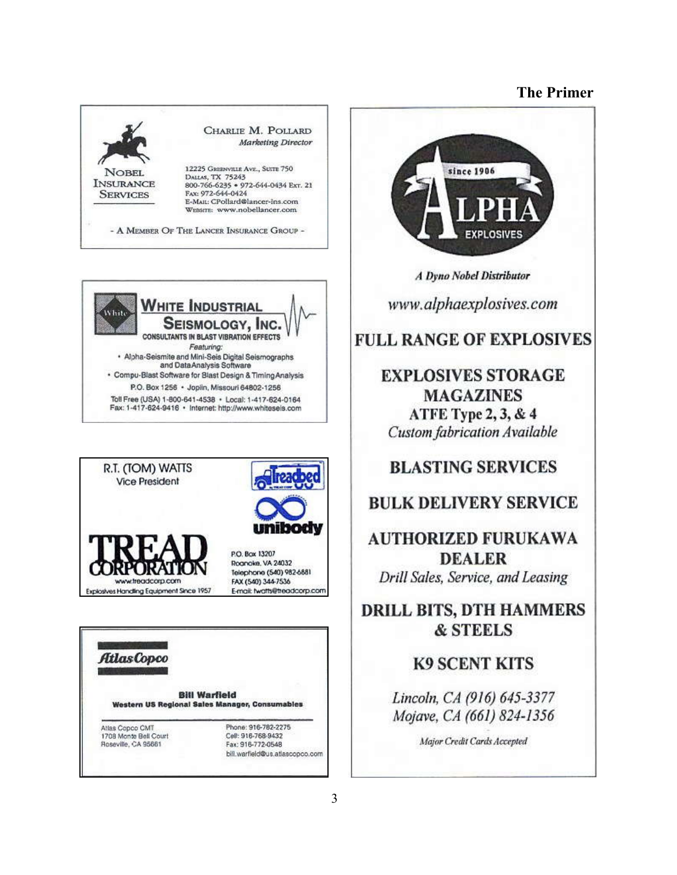









**A Dyno Nobel Distributor** 

www.alphaexplosives.com

### **FULL RANGE OF EXPLOSIVES**

### **EXPLOSIVES STORAGE MAGAZINES** ATFE Type 2, 3, & 4 **Custom fabrication Available**

### **BLASTING SERVICES**

### **BULK DELIVERY SERVICE**

**AUTHORIZED FURUKAWA DEALER** Drill Sales, Service, and Leasing

### **DRILL BITS, DTH HAMMERS & STEELS**

### **K9 SCENT KITS**

Lincoln, CA (916) 645-3377 Mojave, CA (661) 824-1356

Major Credit Cards Accepted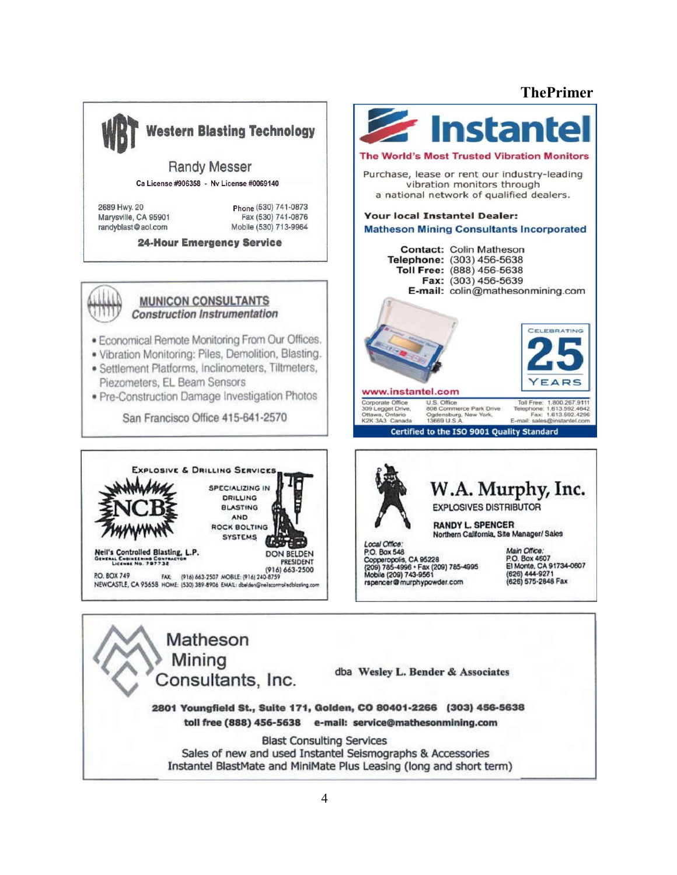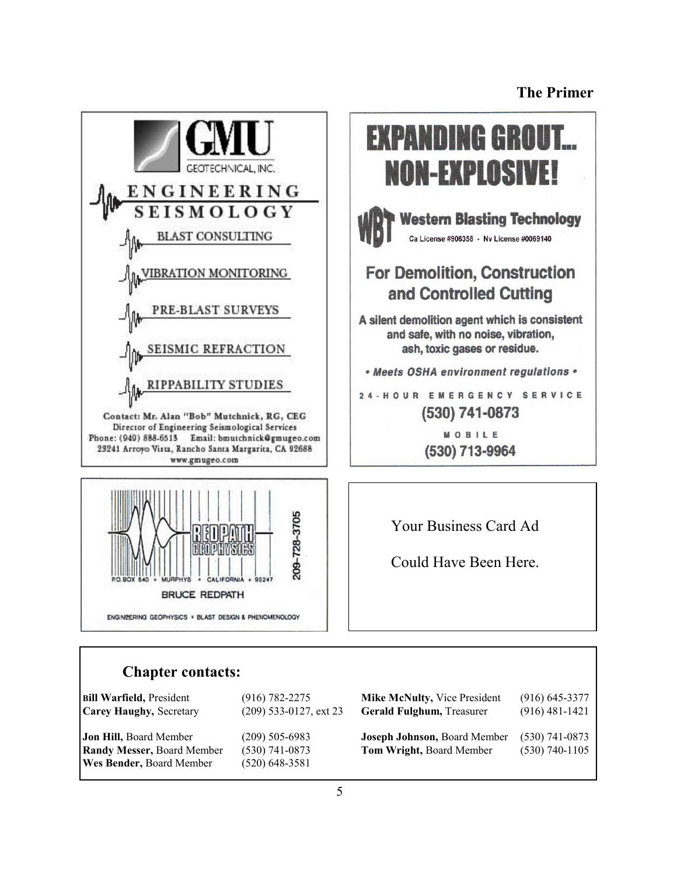



#### **Chapter contacts:**

| <b>Bill Warfield, President</b>                                                         | $(916) 782 - 2275$                                       | <b>Mike McNulty, Vice President</b>                      | $(916)$ 645-3377                     |
|-----------------------------------------------------------------------------------------|----------------------------------------------------------|----------------------------------------------------------|--------------------------------------|
| Carey Haughy, Secretary                                                                 | $(209)$ 533-0127, ext 23                                 | <b>Gerald Fulghum, Treasurer</b>                         | $(916)$ 481-1421                     |
| Jon Hill, Board Member<br><b>Randy Messer, Board Member</b><br>Wes Bender, Board Member | $(209)$ 505-6983<br>$(530)$ 741-0873<br>$(520)$ 648-3581 | Joseph Johnson, Board Member<br>Tom Wright, Board Member | $(530)$ 741-0873<br>$(530)$ 740-1105 |

**EXPANDING GROUT... NON-EXPLOSIVE! Western Blasting Technology** Ca License #906358 - Nv License #0069140 **For Demolition, Construction** and Controlled Cutting A silent demolition agent which is consistent and safe, with no noise, vibration, ash, toxic gases or residue. • Meets OSHA environment regulations . 24-HOUR EMERGENCY SERVICE (530) 741-0873 MOBILE (530) 713-9964

Your Business Card Ad

Could Have Been Here.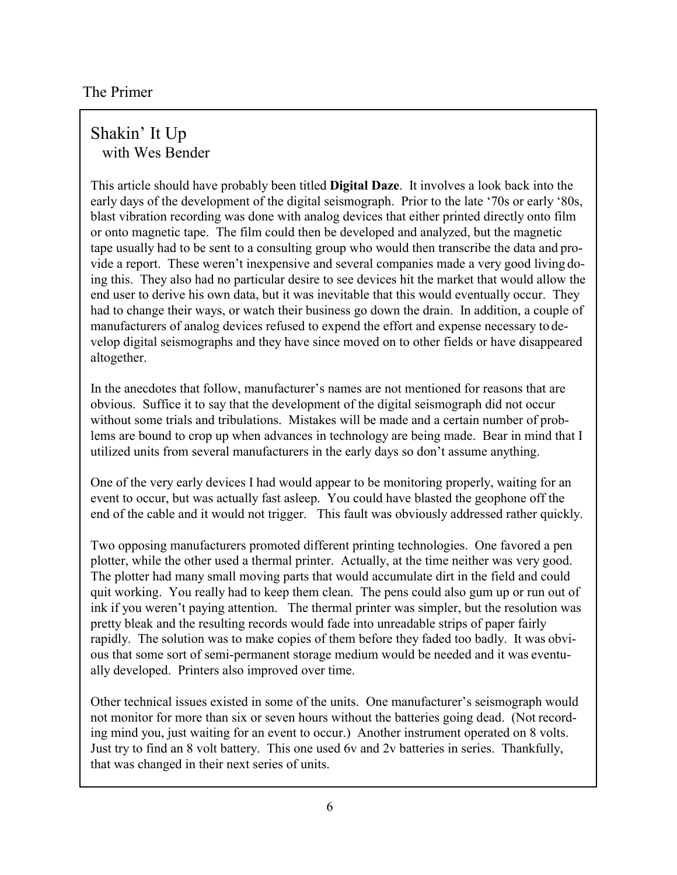### Shakin' It Up with Wes Bender

This article should have probably been titled **Digital Daze**. It involves a look back into the early days of the development of the digital seismograph. Prior to the late '70s or early '80s, blast vibration recording was done with analog devices that either printed directly onto film or onto magnetic tape. The film could then be developed and analyzed, but the magnetic tape usually had to be sent to a consulting group who would then transcribe the data and provide a report. These weren't inexpensive and several companies made a very good living doing this. They also had no particular desire to see devices hit the market that would allow the end user to derive his own data, but it was inevitable that this would eventually occur. They had to change their ways, or watch their business go down the drain. In addition, a couple of manufacturers of analog devices refused to expend the effort and expense necessary to develop digital seismographs and they have since moved on to other fields or have disappeared altogether.

In the anecdotes that follow, manufacturer's names are not mentioned for reasons that are obvious. Suffice it to say that the development of the digital seismograph did not occur without some trials and tribulations. Mistakes will be made and a certain number of problems are bound to crop up when advances in technology are being made. Bear in mind that I utilized units from several manufacturers in the early days so don't assume anything.

One of the very early devices I had would appear to be monitoring properly, waiting for an event to occur, but was actually fast asleep. You could have blasted the geophone off the end of the cable and it would not trigger. This fault was obviously addressed rather quickly.

Two opposing manufacturers promoted different printing technologies. One favored a pen plotter, while the other used a thermal printer. Actually, at the time neither was very good. The plotter had many small moving parts that would accumulate dirt in the field and could quit working. You really had to keep them clean. The pens could also gum up or run out of ink if you weren't paying attention. The thermal printer was simpler, but the resolution was pretty bleak and the resulting records would fade into unreadable strips of paper fairly rapidly. The solution was to make copies of them before they faded too badly. It was obvious that some sort of semi-permanent storage medium would be needed and it was eventually developed. Printers also improved over time.

Other technical issues existed in some of the units. One manufacturer's seismograph would not monitor for more than six or seven hours without the batteries going dead. (Not recording mind you, just waiting for an event to occur.) Another instrument operated on 8 volts. Just try to find an 8 volt battery. This one used 6v and 2v batteries in series. Thankfully, that was changed in their next series of units.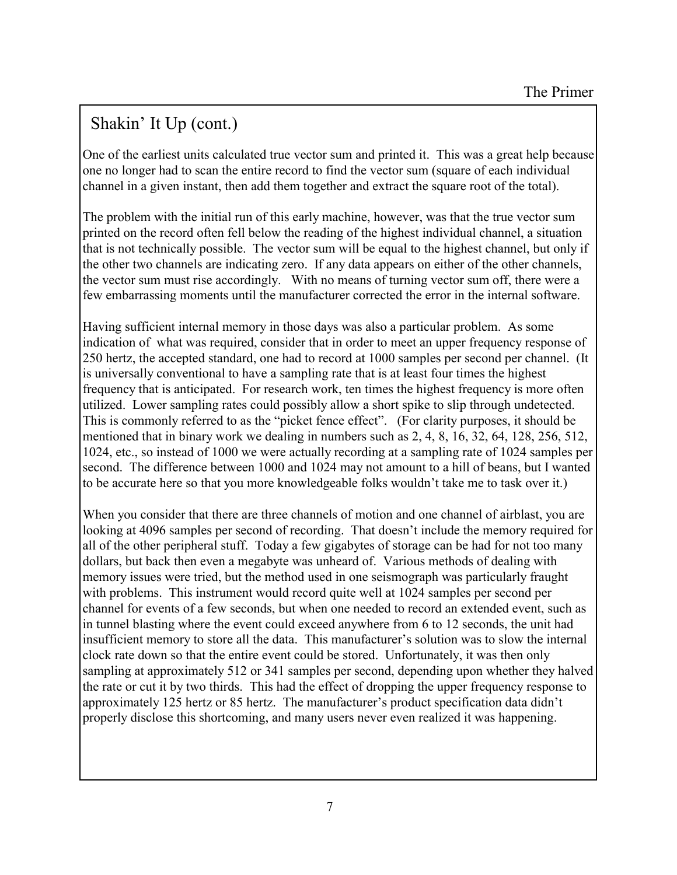# Shakin' It Up (cont.)

One of the earliest units calculated true vector sum and printed it. This was a great help because one no longer had to scan the entire record to find the vector sum (square of each individual channel in a given instant, then add them together and extract the square root of the total).

The problem with the initial run of this early machine, however, was that the true vector sum printed on the record often fell below the reading of the highest individual channel, a situation that is not technically possible. The vector sum will be equal to the highest channel, but only if the other two channels are indicating zero. If any data appears on either of the other channels, the vector sum must rise accordingly. With no means of turning vector sum off, there were a few embarrassing moments until the manufacturer corrected the error in the internal software.

Having sufficient internal memory in those days was also a particular problem. As some indication of what was required, consider that in order to meet an upper frequency response of 250 hertz, the accepted standard, one had to record at 1000 samples per second per channel. (It is universally conventional to have a sampling rate that is at least four times the highest frequency that is anticipated. For research work, ten times the highest frequency is more often utilized. Lower sampling rates could possibly allow a short spike to slip through undetected. This is commonly referred to as the "picket fence effect". (For clarity purposes, it should be mentioned that in binary work we dealing in numbers such as 2, 4, 8, 16, 32, 64, 128, 256, 512, 1024, etc., so instead of 1000 we were actually recording at a sampling rate of 1024 samples per second. The difference between 1000 and 1024 may not amount to a hill of beans, but I wanted to be accurate here so that you more knowledgeable folks wouldn't take me to task over it.)

When you consider that there are three channels of motion and one channel of airblast, you are looking at 4096 samples per second of recording. That doesn't include the memory required for all of the other peripheral stuff. Today a few gigabytes of storage can be had for not too many dollars, but back then even a megabyte was unheard of. Various methods of dealing with memory issues were tried, but the method used in one seismograph was particularly fraught with problems. This instrument would record quite well at 1024 samples per second per channel for events of a few seconds, but when one needed to record an extended event, such as in tunnel blasting where the event could exceed anywhere from 6 to 12 seconds, the unit had insufficient memory to store all the data. This manufacturer's solution was to slow the internal clock rate down so that the entire event could be stored. Unfortunately, it was then only sampling at approximately 512 or 341 samples per second, depending upon whether they halved the rate or cut it by two thirds. This had the effect of dropping the upper frequency response to approximately 125 hertz or 85 hertz. The manufacturer's product specification data didn't properly disclose this shortcoming, and many users never even realized it was happening.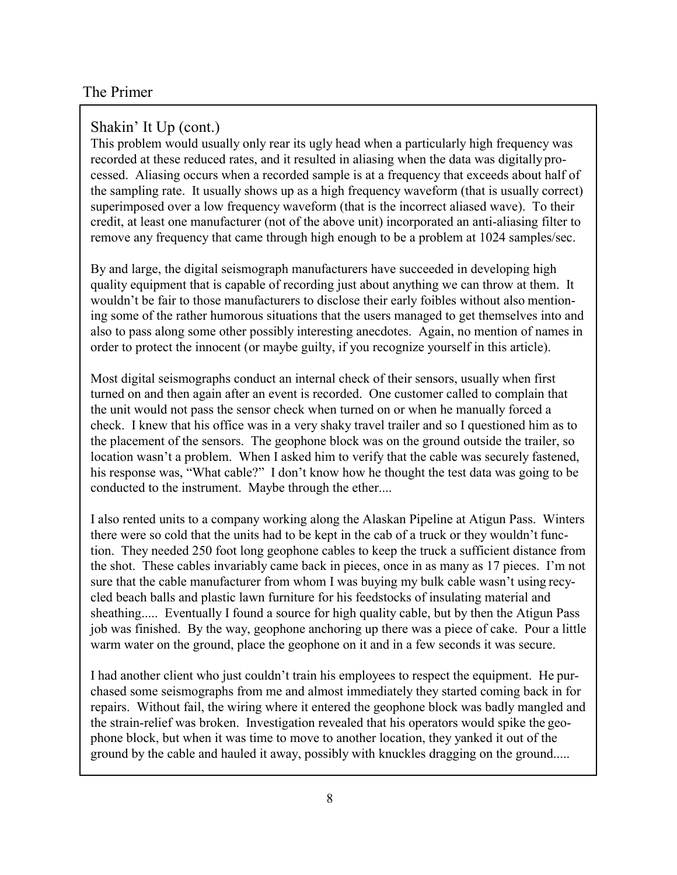#### Shakin' It Up (cont.)

This problem would usually only rear its ugly head when a particularly high frequency was recorded at these reduced rates, and it resulted in aliasing when the data was digitally processed. Aliasing occurs when a recorded sample is at a frequency that exceeds about half of the sampling rate. It usually shows up as a high frequency waveform (that is usually correct) superimposed over a low frequency waveform (that is the incorrect aliased wave). To their credit, at least one manufacturer (not of the above unit) incorporated an anti-aliasing filter to remove any frequency that came through high enough to be a problem at 1024 samples/sec.

By and large, the digital seismograph manufacturers have succeeded in developing high quality equipment that is capable of recording just about anything we can throw at them. It wouldn't be fair to those manufacturers to disclose their early foibles without also mentioning some of the rather humorous situations that the users managed to get themselves into and also to pass along some other possibly interesting anecdotes. Again, no mention of names in order to protect the innocent (or maybe guilty, if you recognize yourself in this article).

Most digital seismographs conduct an internal check of their sensors, usually when first turned on and then again after an event is recorded. One customer called to complain that the unit would not pass the sensor check when turned on or when he manually forced a check. I knew that his office was in a very shaky travel trailer and so I questioned him as to the placement of the sensors. The geophone block was on the ground outside the trailer, so location wasn't a problem. When I asked him to verify that the cable was securely fastened, his response was, "What cable?" I don't know how he thought the test data was going to be conducted to the instrument. Maybe through the ether....

I also rented units to a company working along the Alaskan Pipeline at Atigun Pass. Winters there were so cold that the units had to be kept in the cab of a truck or they wouldn't function. They needed 250 foot long geophone cables to keep the truck a sufficient distance from the shot. These cables invariably came back in pieces, once in as many as 17 pieces. I'm not sure that the cable manufacturer from whom I was buying my bulk cable wasn't using recycled beach balls and plastic lawn furniture for his feedstocks of insulating material and sheathing..... Eventually I found a source for high quality cable, but by then the Atigun Pass job was finished. By the way, geophone anchoring up there was a piece of cake. Pour a little warm water on the ground, place the geophone on it and in a few seconds it was secure.

I had another client who just couldn't train his employees to respect the equipment. He purchased some seismographs from me and almost immediately they started coming back in for repairs. Without fail, the wiring where it entered the geophone block was badly mangled and the strain-relief was broken. Investigation revealed that his operators would spike the geophone block, but when it was time to move to another location, they yanked it out of the ground by the cable and hauled it away, possibly with knuckles dragging on the ground.....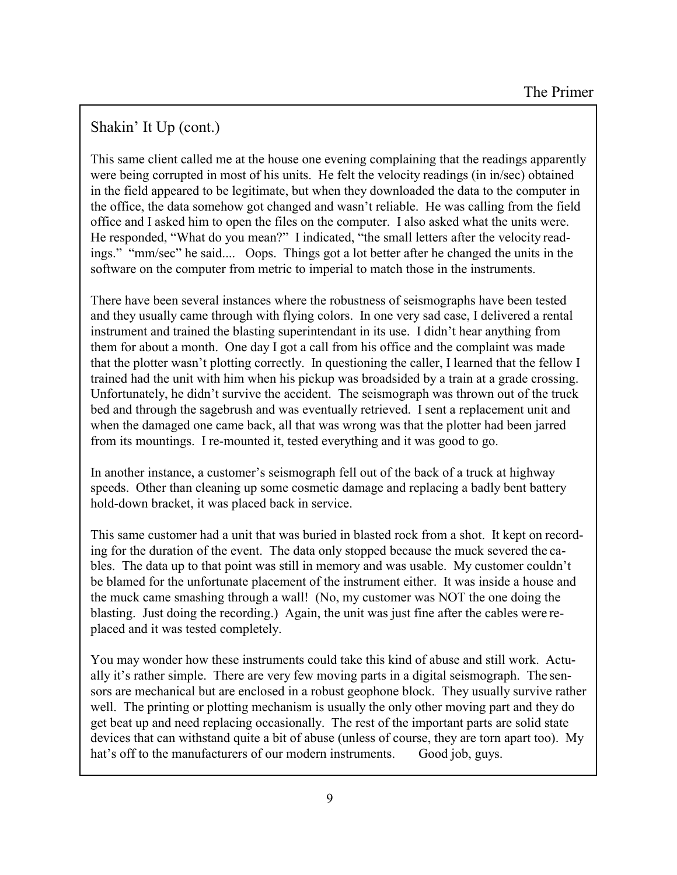### Shakin' It Up (cont.)

This same client called me at the house one evening complaining that the readings apparently were being corrupted in most of his units. He felt the velocity readings (in in/sec) obtained in the field appeared to be legitimate, but when they downloaded the data to the computer in the office, the data somehow got changed and wasn't reliable. He was calling from the field office and I asked him to open the files on the computer. I also asked what the units were. He responded, "What do you mean?" I indicated, "the small letters after the velocity readings." "mm/sec" he said.... Oops. Things got a lot better after he changed the units in the software on the computer from metric to imperial to match those in the instruments.

There have been several instances where the robustness of seismographs have been tested and they usually came through with flying colors. In one very sad case, I delivered a rental instrument and trained the blasting superintendant in its use. I didn't hear anything from them for about a month. One day I got a call from his office and the complaint was made that the plotter wasn't plotting correctly. In questioning the caller, I learned that the fellow I trained had the unit with him when his pickup was broadsided by a train at a grade crossing. Unfortunately, he didn't survive the accident. The seismograph was thrown out of the truck bed and through the sagebrush and was eventually retrieved. I sent a replacement unit and when the damaged one came back, all that was wrong was that the plotter had been jarred from its mountings. I re-mounted it, tested everything and it was good to go.

In another instance, a customer's seismograph fell out of the back of a truck at highway speeds. Other than cleaning up some cosmetic damage and replacing a badly bent battery hold-down bracket, it was placed back in service.

This same customer had a unit that was buried in blasted rock from a shot. It kept on recording for the duration of the event. The data only stopped because the muck severed the cables. The data up to that point was still in memory and was usable. My customer couldn't be blamed for the unfortunate placement of the instrument either. It was inside a house and the muck came smashing through a wall! (No, my customer was NOT the one doing the blasting. Just doing the recording.) Again, the unit was just fine after the cables were replaced and it was tested completely.

You may wonder how these instruments could take this kind of abuse and still work. Actually it's rather simple. There are very few moving parts in a digital seismograph. The sensors are mechanical but are enclosed in a robust geophone block. They usually survive rather well. The printing or plotting mechanism is usually the only other moving part and they do get beat up and need replacing occasionally. The rest of the important parts are solid state devices that can withstand quite a bit of abuse (unless of course, they are torn apart too). My hat's off to the manufacturers of our modern instruments. Good job, guys.